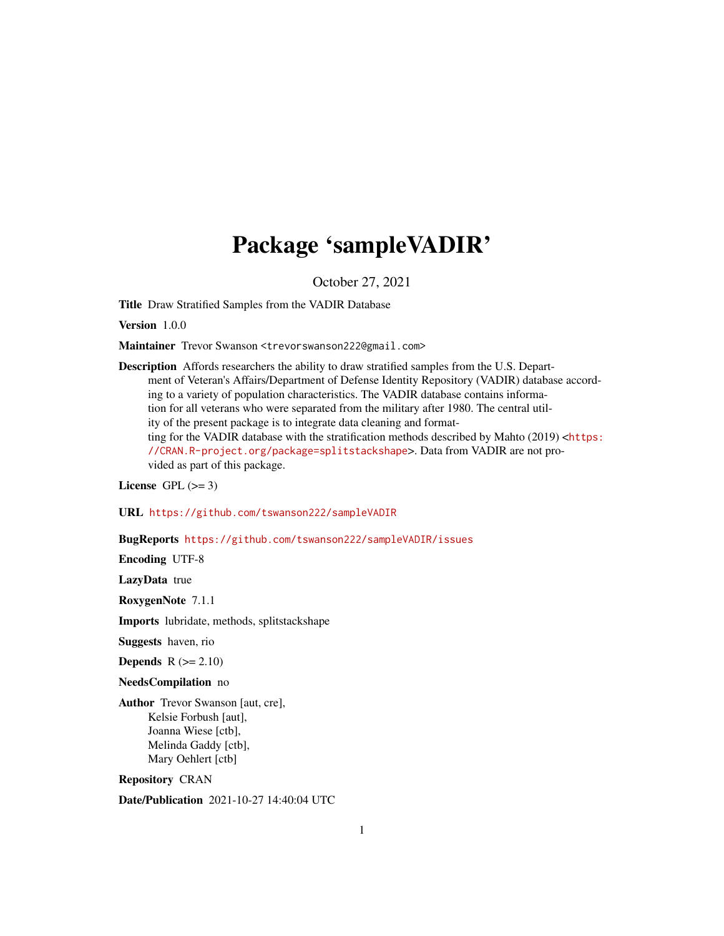# Package 'sampleVADIR'

October 27, 2021

Title Draw Stratified Samples from the VADIR Database

Version 1.0.0

Maintainer Trevor Swanson <trevorswanson222@gmail.com>

Description Affords researchers the ability to draw stratified samples from the U.S. Department of Veteran's Affairs/Department of Defense Identity Repository (VADIR) database according to a variety of population characteristics. The VADIR database contains information for all veterans who were separated from the military after 1980. The central utility of the present package is to integrate data cleaning and formatting for the VADIR database with the stratification methods described by Mahto  $(2019)$  <[https:](https://CRAN.R-project.org/package=splitstackshape) [//CRAN.R-project.org/package=splitstackshape](https://CRAN.R-project.org/package=splitstackshape)>. Data from VADIR are not provided as part of this package.

License GPL  $(>= 3)$ 

URL <https://github.com/tswanson222/sampleVADIR>

BugReports <https://github.com/tswanson222/sampleVADIR/issues>

Encoding UTF-8

LazyData true

RoxygenNote 7.1.1

Imports lubridate, methods, splitstackshape

Suggests haven, rio

Depends  $R (= 2.10)$ 

NeedsCompilation no

Author Trevor Swanson [aut, cre], Kelsie Forbush [aut], Joanna Wiese [ctb], Melinda Gaddy [ctb], Mary Oehlert [ctb]

Repository CRAN

Date/Publication 2021-10-27 14:40:04 UTC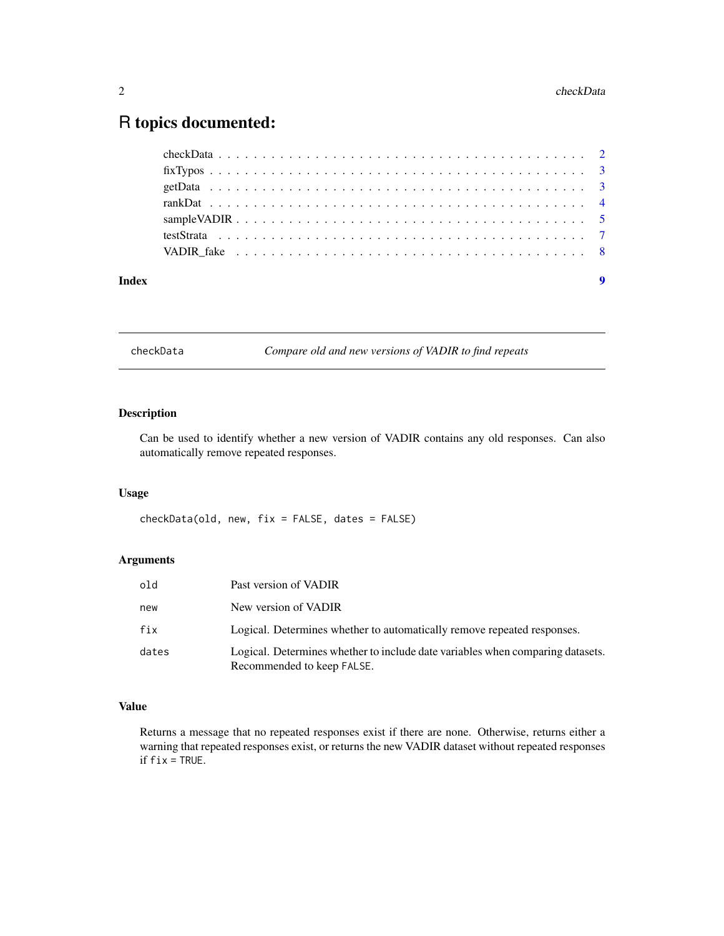# <span id="page-1-0"></span>R topics documented:

| Index | $\boldsymbol{9}$ |
|-------|------------------|
|       |                  |
|       |                  |
|       |                  |
|       |                  |
|       |                  |
|       |                  |
|       |                  |

checkData *Compare old and new versions of VADIR to find repeats*

# Description

Can be used to identify whether a new version of VADIR contains any old responses. Can also automatically remove repeated responses.

# Usage

checkData(old, new, fix = FALSE, dates = FALSE)

# Arguments

| old   | Past version of VADIR                                                                                        |
|-------|--------------------------------------------------------------------------------------------------------------|
| new   | New version of VADIR                                                                                         |
| fix   | Logical. Determines whether to automatically remove repeated responses.                                      |
| dates | Logical. Determines whether to include date variables when comparing datasets.<br>Recommended to keep FALSE. |

# Value

Returns a message that no repeated responses exist if there are none. Otherwise, returns either a warning that repeated responses exist, or returns the new VADIR dataset without repeated responses if  $fix = TRUE$ .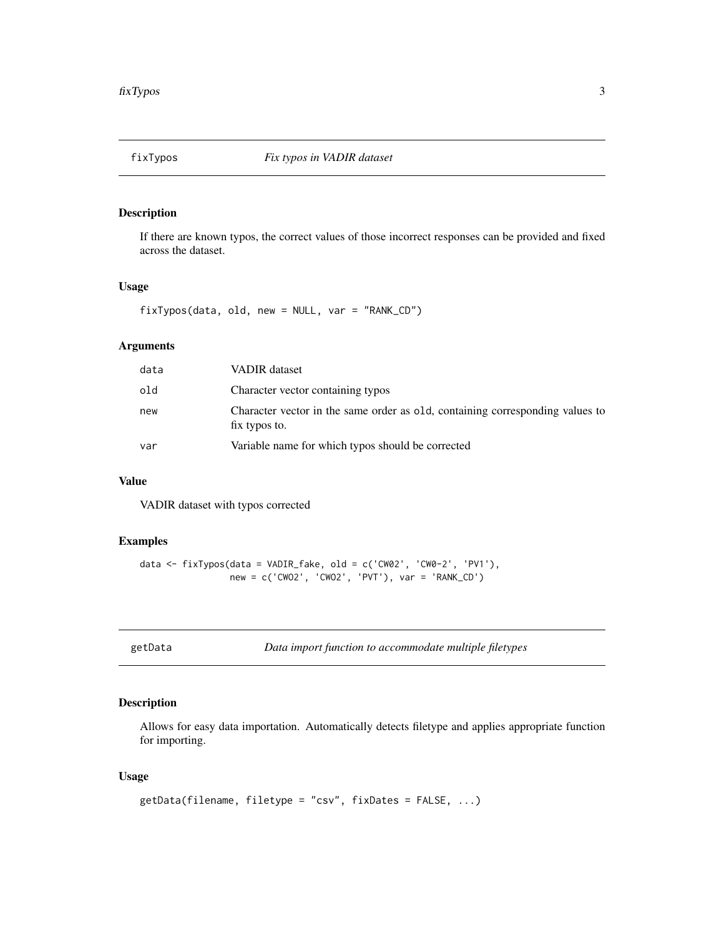<span id="page-2-1"></span><span id="page-2-0"></span>

# Description

If there are known typos, the correct values of those incorrect responses can be provided and fixed across the dataset.

# Usage

fixTypos(data, old, new = NULL, var = "RANK\_CD")

# Arguments

| data | VADIR dataset                                                                                  |
|------|------------------------------------------------------------------------------------------------|
| old  | Character vector containing typos                                                              |
| new  | Character vector in the same order as old, containing corresponding values to<br>fix typos to. |
| var  | Variable name for which typos should be corrected                                              |

# Value

VADIR dataset with typos corrected

## Examples

```
data <- fixTypos(data = VADIR_fake, old = c('CW02', 'CW0-2', 'PV1'),
                 new = c('CWO2', 'CWO2', 'PVT'), var = 'RANK_CD')
```
getData *Data import function to accommodate multiple filetypes*

# Description

Allows for easy data importation. Automatically detects filetype and applies appropriate function for importing.

# Usage

```
getData(filename, filetype = "csv", fixDates = FALSE, ...)
```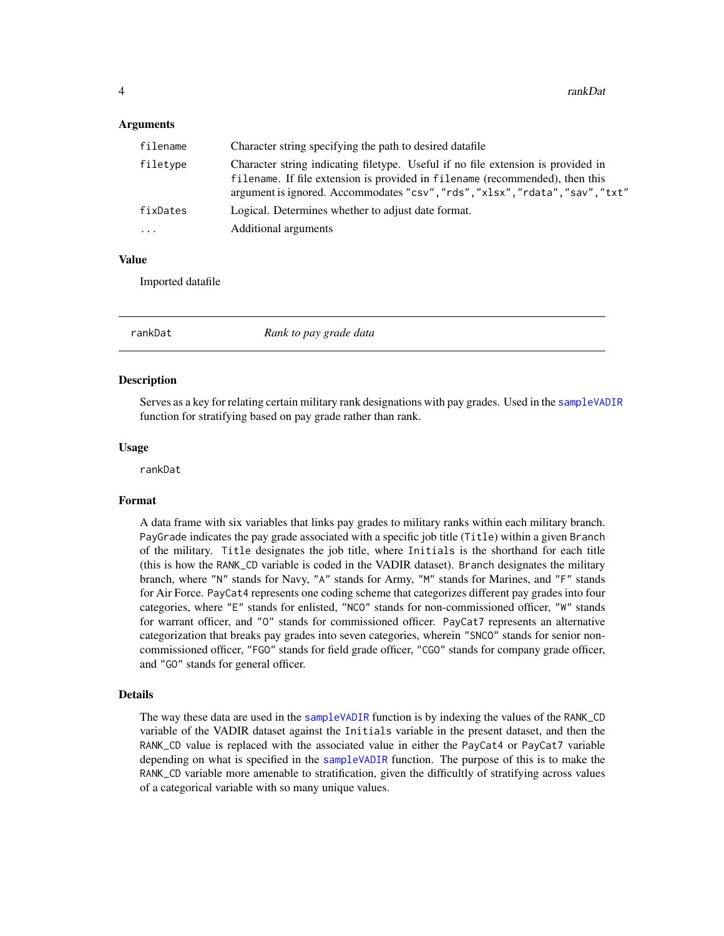#### <span id="page-3-0"></span>Arguments

| filename | Character string specifying the path to desired datafile                                                                                                                                                                                          |  |
|----------|---------------------------------------------------------------------------------------------------------------------------------------------------------------------------------------------------------------------------------------------------|--|
| filetype | Character string indicating filetype. Useful if no file extension is provided in<br>filename. If file extension is provided in filename (recommended), then this<br>argument is ignored. Accommodates "csv", "rds", "xlsx", "rdata", "sav", "txt" |  |
| fixDates | Logical. Determines whether to adjust date format.                                                                                                                                                                                                |  |
| $\ddots$ | Additional arguments                                                                                                                                                                                                                              |  |

# Value

Imported datafile

rankDat *Rank to pay grade data*

#### Description

Serves as a key for relating certain military rank designations with pay grades. Used in the [sampleVADIR](#page-4-1) function for stratifying based on pay grade rather than rank.

# Usage

rankDat

# Format

A data frame with six variables that links pay grades to military ranks within each military branch. PayGrade indicates the pay grade associated with a specific job title (Title) within a given Branch of the military. Title designates the job title, where Initials is the shorthand for each title (this is how the RANK\_CD variable is coded in the VADIR dataset). Branch designates the military branch, where "N" stands for Navy, "A" stands for Army, "M" stands for Marines, and "F" stands for Air Force. PayCat4 represents one coding scheme that categorizes different pay grades into four categories, where "E" stands for enlisted, "NCO" stands for non-commissioned officer, "W" stands for warrant officer, and "0" stands for commissioned officer. PayCat7 represents an alternative categorization that breaks pay grades into seven categories, wherein "SNCO" stands for senior noncommissioned officer, "FGO" stands for field grade officer, "CGO" stands for company grade officer, and "GO" stands for general officer.

#### Details

The way these data are used in the [sampleVADIR](#page-4-1) function is by indexing the values of the RANK\_CD variable of the VADIR dataset against the Initials variable in the present dataset, and then the RANK\_CD value is replaced with the associated value in either the PayCat4 or PayCat7 variable depending on what is specified in the [sampleVADIR](#page-4-1) function. The purpose of this is to make the RANK\_CD variable more amenable to stratification, given the difficultly of stratifying across values of a categorical variable with so many unique values.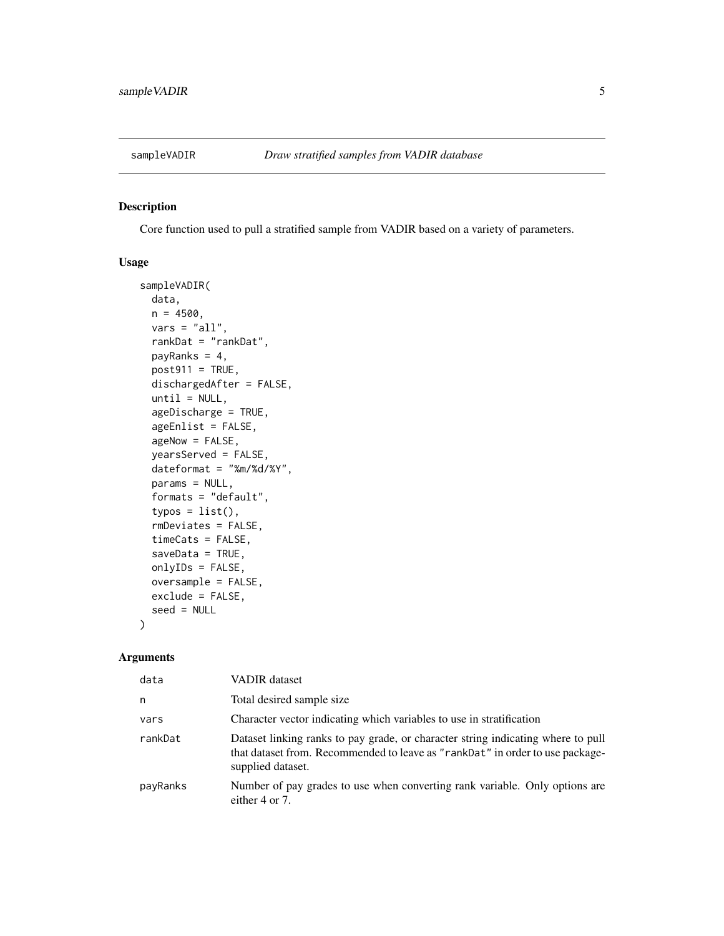<span id="page-4-1"></span><span id="page-4-0"></span>

# Description

Core function used to pull a stratified sample from VADIR based on a variety of parameters.

# Usage

```
sampleVADIR(
  data,
 n = 4500,vars = "all",rankDat = "rankDat",
 payRanks = 4,
 post911 = TRUE,dischargedAfter = FALSE,
  until = NULL,ageDischarge = TRUE,
  ageEnlist = FALSE,
  ageNow = FALSE,
  yearsServed = FALSE,
 dateformat = "%m/%d/%Y",
 params = NULL,
  formats = "default",
  type = list(),
  rmDeviates = FALSE,
  timeCats = FALSE,
  saveData = TRUE,
 onlyIDs = FALSE,
 oversample = FALSE,
 exclude = FALSE,
  seed = NULL
)
```
### Arguments

| data     | <b>VADIR</b> dataset                                                                                                                                                                   |
|----------|----------------------------------------------------------------------------------------------------------------------------------------------------------------------------------------|
| n        | Total desired sample size.                                                                                                                                                             |
| vars     | Character vector indicating which variables to use in stratification                                                                                                                   |
| rankDat  | Dataset linking ranks to pay grade, or character string indicating where to pull<br>that dataset from. Recommended to leave as "rankDat" in order to use package-<br>supplied dataset. |
| payRanks | Number of pay grades to use when converting rank variable. Only options are<br>either 4 or 7.                                                                                          |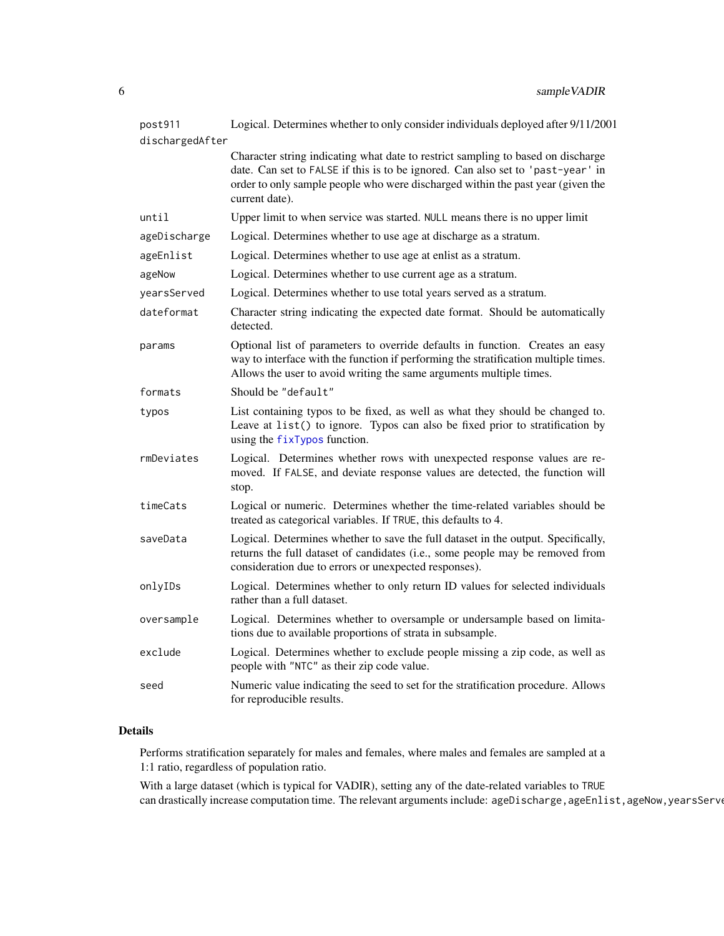<span id="page-5-0"></span>

| post911         | Logical. Determines whether to only consider individuals deployed after 9/11/2001                                                                                                                                                                                        |
|-----------------|--------------------------------------------------------------------------------------------------------------------------------------------------------------------------------------------------------------------------------------------------------------------------|
| dischargedAfter |                                                                                                                                                                                                                                                                          |
|                 | Character string indicating what date to restrict sampling to based on discharge<br>date. Can set to FALSE if this is to be ignored. Can also set to 'past-year' in<br>order to only sample people who were discharged within the past year (given the<br>current date). |
| until           | Upper limit to when service was started. NULL means there is no upper limit                                                                                                                                                                                              |
| ageDischarge    | Logical. Determines whether to use age at discharge as a stratum.                                                                                                                                                                                                        |
| ageEnlist       | Logical. Determines whether to use age at enlist as a stratum.                                                                                                                                                                                                           |
| ageNow          | Logical. Determines whether to use current age as a stratum.                                                                                                                                                                                                             |
| yearsServed     | Logical. Determines whether to use total years served as a stratum.                                                                                                                                                                                                      |
| dateformat      | Character string indicating the expected date format. Should be automatically<br>detected.                                                                                                                                                                               |
| params          | Optional list of parameters to override defaults in function. Creates an easy<br>way to interface with the function if performing the stratification multiple times.<br>Allows the user to avoid writing the same arguments multiple times.                              |
| formats         | Should be "default"                                                                                                                                                                                                                                                      |
| typos           | List containing typos to be fixed, as well as what they should be changed to.<br>Leave at list() to ignore. Typos can also be fixed prior to stratification by<br>using the fixTypos function.                                                                           |
| rmDeviates      | Logical. Determines whether rows with unexpected response values are re-<br>moved. If FALSE, and deviate response values are detected, the function will<br>stop.                                                                                                        |
| timeCats        | Logical or numeric. Determines whether the time-related variables should be<br>treated as categorical variables. If TRUE, this defaults to 4.                                                                                                                            |
| saveData        | Logical. Determines whether to save the full dataset in the output. Specifically,<br>returns the full dataset of candidates (i.e., some people may be removed from<br>consideration due to errors or unexpected responses).                                              |
| onlyIDs         | Logical. Determines whether to only return ID values for selected individuals<br>rather than a full dataset.                                                                                                                                                             |
| oversample      | Logical. Determines whether to oversample or undersample based on limita-<br>tions due to available proportions of strata in subsample.                                                                                                                                  |
| exclude         | Logical. Determines whether to exclude people missing a zip code, as well as<br>people with "NTC" as their zip code value.                                                                                                                                               |
| seed            | Numeric value indicating the seed to set for the stratification procedure. Allows<br>for reproducible results.                                                                                                                                                           |

# Details

Performs stratification separately for males and females, where males and females are sampled at a 1:1 ratio, regardless of population ratio.

With a large dataset (which is typical for VADIR), setting any of the date-related variables to TRUE can drastically increase computation time. The relevant arguments include: ageDischarge, ageEnlist, ageNow, yearsServe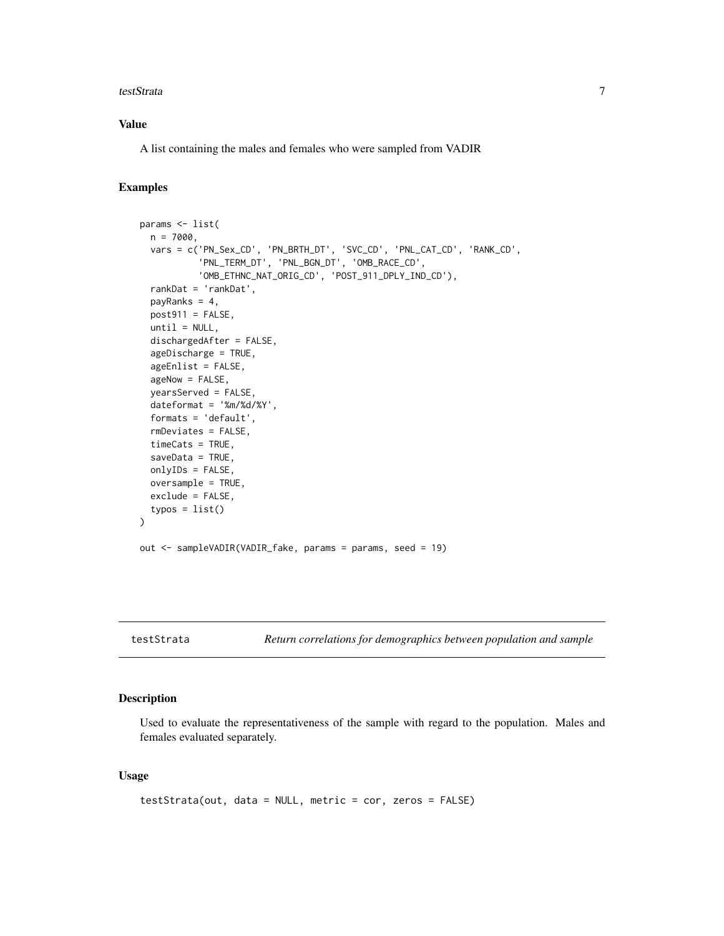#### <span id="page-6-0"></span>testStrata 7

# Value

A list containing the males and females who were sampled from VADIR

# Examples

```
params <- list(
  n = 7000,
  vars = c('PN_Sex_CD', 'PN_BRTH_DT', 'SVC_CD', 'PNL_CAT_CD', 'RANK_CD',
            'PNL_TERM_DT', 'PNL_BGN_DT', 'OMB_RACE_CD',
           'OMB_ETHNC_NAT_ORIG_CD', 'POST_911_DPLY_IND_CD'),
  rankDat = 'rankDat',
  payRanks = 4,
  post911 = FALSE,until = NULL,dischargedAfter = FALSE,
  ageDischarge = TRUE,
  ageEnlist = FALSE,
  ageNow = FALSE,
  yearsServed = FALSE,
  dateformat = '%m/%d/%Y',
  formats = 'default',
  rmDeviates = FALSE,
  timeCats = TRUE,
  saveData = TRUE,
  onlyIDs = FALSE,
  oversample = TRUE,
  exclude = FALSE,
  type = list())
out <- sampleVADIR(VADIR_fake, params = params, seed = 19)
```
testStrata *Return correlations for demographics between population and sample*

#### Description

Used to evaluate the representativeness of the sample with regard to the population. Males and females evaluated separately.

#### Usage

```
testStrata(out, data = NULL, metric = cor, zeros = FALSE)
```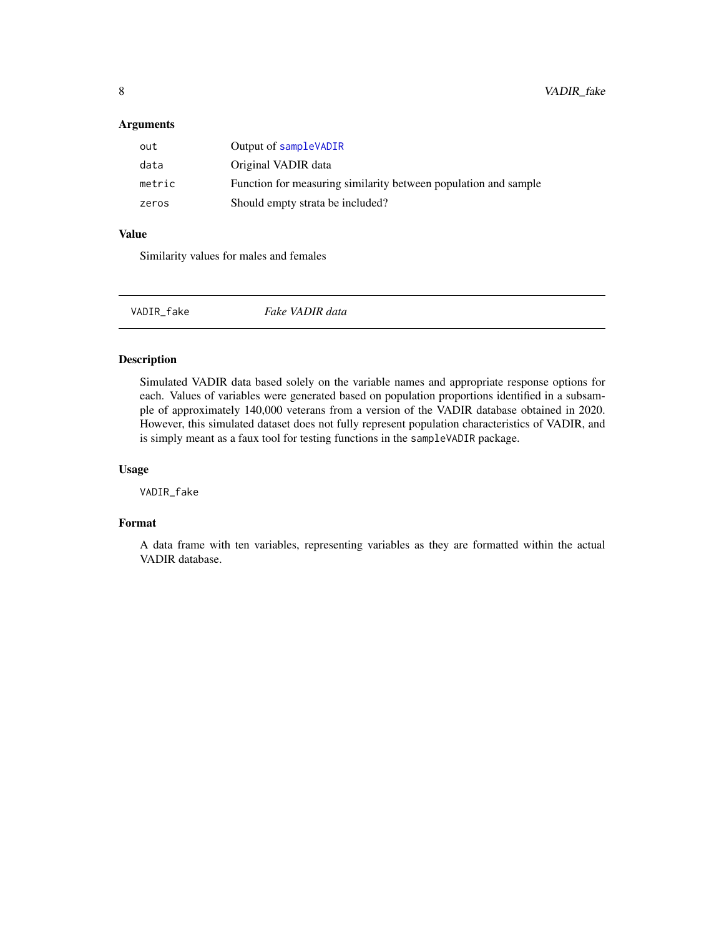# <span id="page-7-0"></span>Arguments

| out    | Output of sampleVADIR                                           |
|--------|-----------------------------------------------------------------|
| data   | Original VADIR data                                             |
| metric | Function for measuring similarity between population and sample |
| zeros  | Should empty strata be included?                                |

# Value

Similarity values for males and females

| VADIR_fake | Fake VADIR data |  |
|------------|-----------------|--|
|------------|-----------------|--|

# Description

Simulated VADIR data based solely on the variable names and appropriate response options for each. Values of variables were generated based on population proportions identified in a subsample of approximately 140,000 veterans from a version of the VADIR database obtained in 2020. However, this simulated dataset does not fully represent population characteristics of VADIR, and is simply meant as a faux tool for testing functions in the sampleVADIR package.

# Usage

VADIR\_fake

# Format

A data frame with ten variables, representing variables as they are formatted within the actual VADIR database.